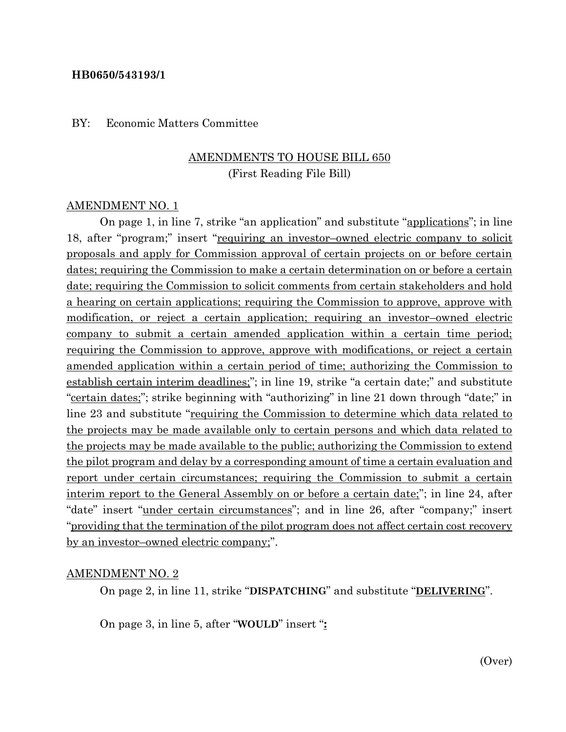#### **HB0650/543193/1**

#### BY: Economic Matters Committee

### AMENDMENTS TO HOUSE BILL 650 (First Reading File Bill)

#### AMENDMENT NO. 1

On page 1, in line 7, strike "an application" and substitute "applications"; in line 18, after "program;" insert "requiring an investor–owned electric company to solicit proposals and apply for Commission approval of certain projects on or before certain dates; requiring the Commission to make a certain determination on or before a certain date; requiring the Commission to solicit comments from certain stakeholders and hold a hearing on certain applications; requiring the Commission to approve, approve with modification, or reject a certain application; requiring an investor–owned electric company to submit a certain amended application within a certain time period; requiring the Commission to approve, approve with modifications, or reject a certain amended application within a certain period of time; authorizing the Commission to establish certain interim deadlines;"; in line 19, strike "a certain date;" and substitute "certain dates;"; strike beginning with "authorizing" in line 21 down through "date;" in line 23 and substitute "requiring the Commission to determine which data related to the projects may be made available only to certain persons and which data related to the projects may be made available to the public; authorizing the Commission to extend the pilot program and delay by a corresponding amount of time a certain evaluation and report under certain circumstances; requiring the Commission to submit a certain interim report to the General Assembly on or before a certain date;"; in line 24, after "date" insert "under certain circumstances"; and in line 26, after "company;" insert "providing that the termination of the pilot program does not affect certain cost recovery by an investor–owned electric company;".

#### AMENDMENT NO. 2

On page 2, in line 11, strike "**DISPATCHING**" and substitute "**DELIVERING**".

On page 3, in line 5, after "**WOULD**" insert "**:**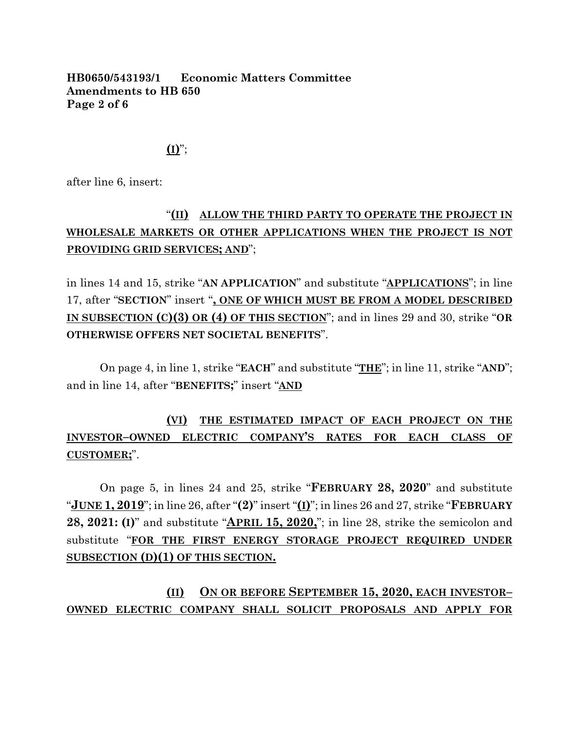### **HB0650/543193/1 Economic Matters Committee Amendments to HB 650 Page 2 of 6**

### $($ **I** $)$ ";

after line 6, insert:

# "**(II) ALLOW THE THIRD PARTY TO OPERATE THE PROJECT IN WHOLESALE MARKETS OR OTHER APPLICATIONS WHEN THE PROJECT IS NOT PROVIDING GRID SERVICES; AND**";

in lines 14 and 15, strike "**AN APPLICATION**" and substitute "**APPLICATIONS**"; in line 17, after "**SECTION**" insert "**, ONE OF WHICH MUST BE FROM A MODEL DESCRIBED IN SUBSECTION (C)(3) OR (4) OF THIS SECTION**"; and in lines 29 and 30, strike "**OR OTHERWISE OFFERS NET SOCIETAL BENEFITS**".

On page 4, in line 1, strike "**EACH**" and substitute "**THE**"; in line 11, strike "**AND**"; and in line 14, after "**BENEFITS;**" insert "**AND**

# **(VI) THE ESTIMATED IMPACT OF EACH PROJECT ON THE INVESTOR–OWNED ELECTRIC COMPANY'S RATES FOR EACH CLASS OF CUSTOMER;**".

On page 5, in lines 24 and 25, strike "**FEBRUARY 28, 2020**" and substitute "**JUNE 1, 2019**"; in line 26, after "**(2)**" insert "**(I)**"; in lines 26 and 27, strike "**FEBRUARY 28, 2021: (I)**" and substitute "**APRIL 15, 2020,**"; in line 28, strike the semicolon and substitute "**FOR THE FIRST ENERGY STORAGE PROJECT REQUIRED UNDER SUBSECTION (D)(1) OF THIS SECTION.**

**(II) ON OR BEFORE SEPTEMBER 15, 2020, EACH INVESTOR– OWNED ELECTRIC COMPANY SHALL SOLICIT PROPOSALS AND APPLY FOR**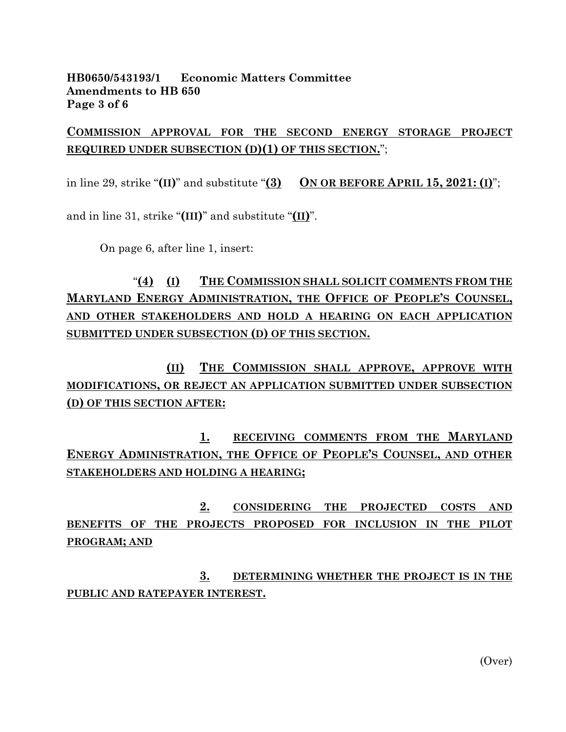### **HB0650/543193/1 Economic Matters Committee Amendments to HB 650 Page 3 of 6**

## **COMMISSION APPROVAL FOR THE SECOND ENERGY STORAGE PROJECT REQUIRED UNDER SUBSECTION (D)(1) OF THIS SECTION.**";

in line 29, strike " $(\text{II})$ " and substitute " $(\text{3})$  ON OR BEFORE APRIL 15, 2021:  $(\text{I})$ ";

and in line 31, strike "**(III)**" and substitute "**(II)**".

On page 6, after line 1, insert:

# "**(4) (I) THE COMMISSION SHALL SOLICIT COMMENTS FROM THE MARYLAND ENERGY ADMINISTRATION, THE OFFICE OF PEOPLE'S COUNSEL, AND OTHER STAKEHOLDERS AND HOLD A HEARING ON EACH APPLICATION SUBMITTED UNDER SUBSECTION (D) OF THIS SECTION.**

**(II) THE COMMISSION SHALL APPROVE, APPROVE WITH MODIFICATIONS, OR REJECT AN APPLICATION SUBMITTED UNDER SUBSECTION (D) OF THIS SECTION AFTER:**

**1. RECEIVING COMMENTS FROM THE MARYLAND ENERGY ADMINISTRATION, THE OFFICE OF PEOPLE'S COUNSEL, AND OTHER STAKEHOLDERS AND HOLDING A HEARING;**

**2. CONSIDERING THE PROJECTED COSTS AND BENEFITS OF THE PROJECTS PROPOSED FOR INCLUSION IN THE PILOT PROGRAM; AND** 

**3. DETERMINING WHETHER THE PROJECT IS IN THE PUBLIC AND RATEPAYER INTEREST.**

(Over)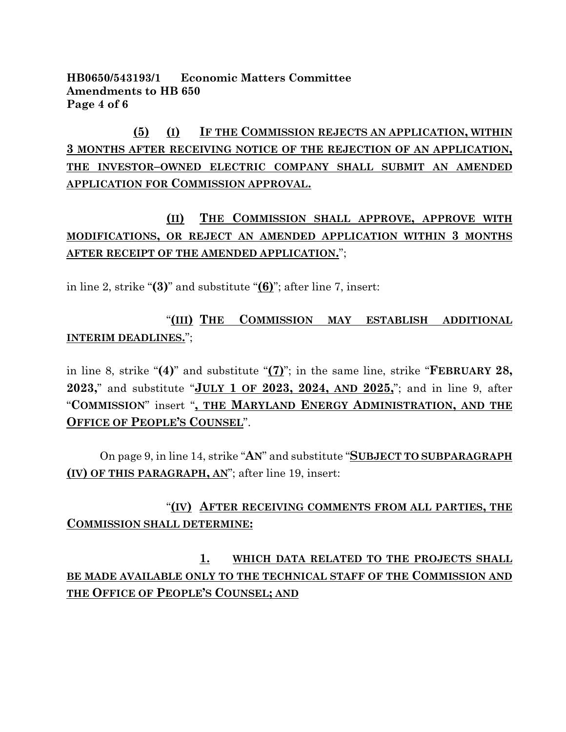### **HB0650/543193/1 Economic Matters Committee Amendments to HB 650 Page 4 of 6**

**(5) (I) IF THE COMMISSION REJECTS AN APPLICATION, WITHIN 3 MONTHS AFTER RECEIVING NOTICE OF THE REJECTION OF AN APPLICATION, THE INVESTOR–OWNED ELECTRIC COMPANY SHALL SUBMIT AN AMENDED APPLICATION FOR COMMISSION APPROVAL.**

# **(II) THE COMMISSION SHALL APPROVE, APPROVE WITH MODIFICATIONS, OR REJECT AN AMENDED APPLICATION WITHIN 3 MONTHS AFTER RECEIPT OF THE AMENDED APPLICATION.**";

in line 2, strike "**(3)**" and substitute "**(6)**"; after line 7, insert:

"**(III) THE COMMISSION MAY ESTABLISH ADDITIONAL INTERIM DEADLINES.**";

in line 8, strike "**(4)**" and substitute "**(7)**"; in the same line, strike "**FEBRUARY 28, 2023,**" and substitute "**JULY 1 OF 2023, 2024, AND 2025,**"; and in line 9, after "**COMMISSION**" insert "**, THE MARYLAND ENERGY ADMINISTRATION, AND THE OFFICE OF PEOPLE'S COUNSEL**".

On page 9, in line 14, strike "**AN**" and substitute "**SUBJECT TO SUBPARAGRAPH (IV) OF THIS PARAGRAPH, AN**"; after line 19, insert:

## "**(IV) AFTER RECEIVING COMMENTS FROM ALL PARTIES, THE COMMISSION SHALL DETERMINE:**

**1. WHICH DATA RELATED TO THE PROJECTS SHALL BE MADE AVAILABLE ONLY TO THE TECHNICAL STAFF OF THE COMMISSION AND THE OFFICE OF PEOPLE'S COUNSEL; AND**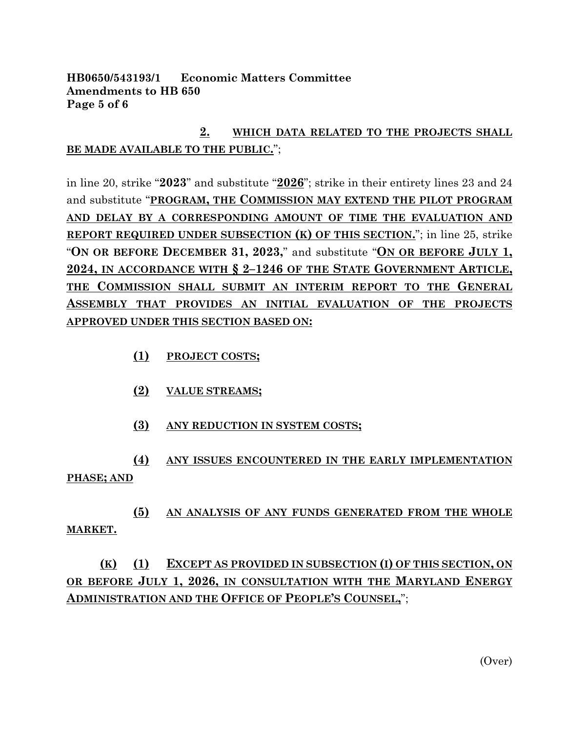### **HB0650/543193/1 Economic Matters Committee Amendments to HB 650 Page 5 of 6**

# **2. WHICH DATA RELATED TO THE PROJECTS SHALL BE MADE AVAILABLE TO THE PUBLIC.**";

in line 20, strike "**2023**" and substitute "**2026**"; strike in their entirety lines 23 and 24 and substitute "**PROGRAM, THE COMMISSION MAY EXTEND THE PILOT PROGRAM AND DELAY BY A CORRESPONDING AMOUNT OF TIME THE EVALUATION AND REPORT REQUIRED UNDER SUBSECTION (K) OF THIS SECTION.**"; in line 25, strike "**ON OR BEFORE DECEMBER 31, 2023,**" and substitute "**ON OR BEFORE JULY 1, 2024, IN ACCORDANCE WITH § 2–1246 OF THE STATE GOVERNMENT ARTICLE, THE COMMISSION SHALL SUBMIT AN INTERIM REPORT TO THE GENERAL ASSEMBLY THAT PROVIDES AN INITIAL EVALUATION OF THE PROJECTS APPROVED UNDER THIS SECTION BASED ON:**

- **(1) PROJECT COSTS;**
- **(2) VALUE STREAMS;**
- **(3) ANY REDUCTION IN SYSTEM COSTS;**

**(4) ANY ISSUES ENCOUNTERED IN THE EARLY IMPLEMENTATION PHASE; AND**

**(5) AN ANALYSIS OF ANY FUNDS GENERATED FROM THE WHOLE MARKET.**

# **(K) (1) EXCEPT AS PROVIDED IN SUBSECTION (I) OF THIS SECTION, ON OR BEFORE JULY 1, 2026, IN CONSULTATION WITH THE MARYLAND ENERGY ADMINISTRATION AND THE OFFICE OF PEOPLE'S COUNSEL,**";

(Over)